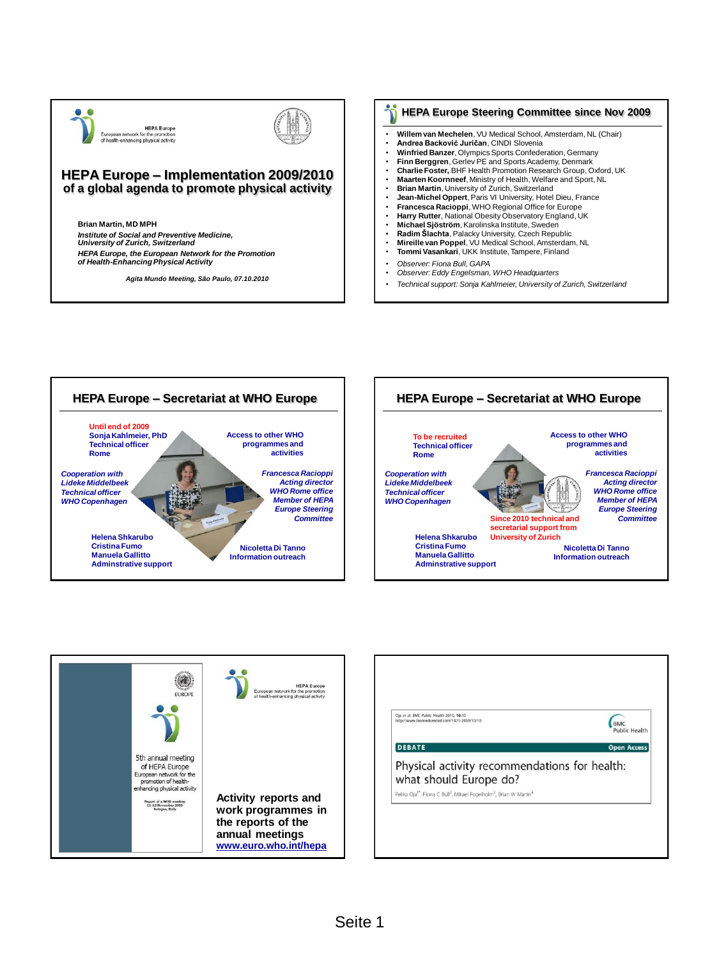



## **HEPA Europe – Implementation 2009/2010 of a global agenda to promote physical activity**

**Brian Martin, MD MPH** *Institute of Social and Preventive Medicine, University of Zurich, Switzerland HEPA Europe, the European Network for the Promotion of Health-Enhancing Physical Activity*

*Agita Mundo Meeting, São Paulo, 07.10.2010*

## **HEPA Europe Steering Committee since Nov 2009**

- **Willem van Mechelen**, VU Medical School, Amsterdam, NL (Chair)
- **Andrea Backović Juričan**, CINDI Slovenia
- **Winfried Banzer**, Olympics Sports Confederation, Germany
- **Finn Berggren**, Gerlev PE and Sports Academy, Denmark
- **Charlie Foster,** BHF Health Promotion Research Group, Oxford, UK • **Maarten Koornneef**, Ministry of Health, Welfare and Sport, NL
- **Brian Martin, University of Zurich, Switzerland**
- **Jean-Michel Oppert**, Paris VI University, Hotel Dieu, France
- **Francesca Racioppi**, WHO Regional Office for Europe
- **Harry Rutter**, National Obesity Observatory England, UK
- **Michael Sjöström**, Karolinska Institute, Sweden
- **Radim Šlachta**, Palacky University, Czech Republic
- **Mireille van Poppel**, VU Medical School, Amsterdam, NL • **Tommi Vasankari**, UKK Institute, Tampere, Finland
- 
- *Observer: Fiona Bull, GAPA*
- *Observer: Eddy Engelsman, WHO Headquarters*
- *Technical support: Sonja Kahlmeier, University of Zurich, Switzerland*







| Oia et al. BMC Public Health 2010, 10:10<br>http://www.biomedcentral.com/1471-2458/10/10                          | <b>BMC</b><br><b>Public Health</b> |
|-------------------------------------------------------------------------------------------------------------------|------------------------------------|
| <b>DEBATE</b>                                                                                                     | <b>Open Access</b>                 |
| Physical activity recommendations for health:<br>what should Europe do?                                           |                                    |
| Pekka Oja <sup>1*</sup> , Fiona C Bull <sup>2</sup> , Mikael Fogelholm <sup>3</sup> , Brian W Martin <sup>4</sup> |                                    |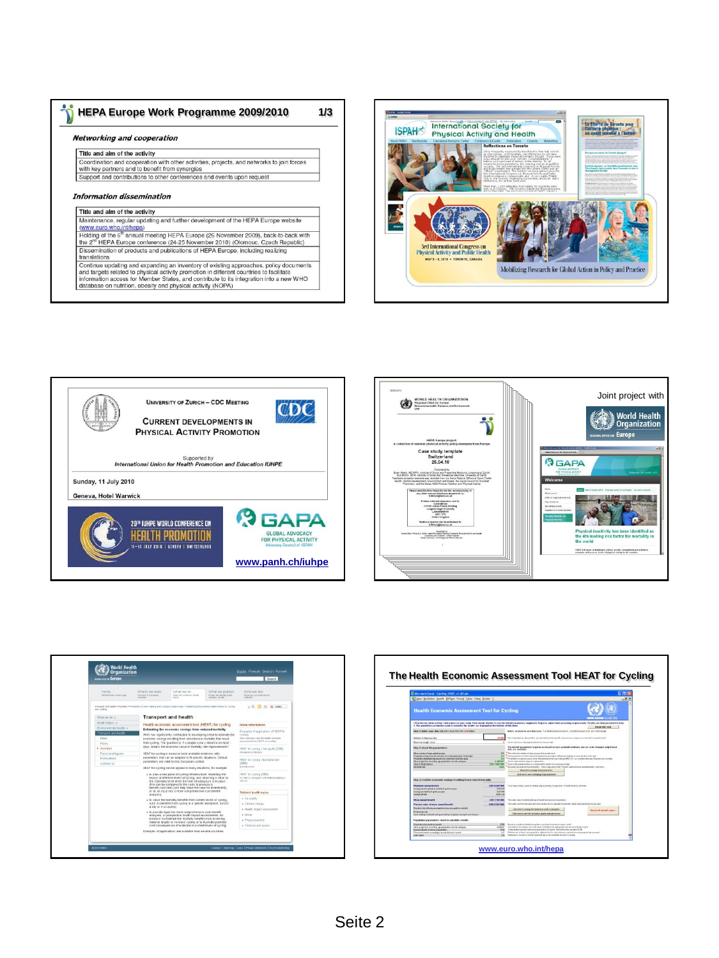| <b>HEPA Europe Work Programme 2009/2010</b>                                                                                                                                                   | 1/3 |
|-----------------------------------------------------------------------------------------------------------------------------------------------------------------------------------------------|-----|
| <b>Networking and cooperation</b>                                                                                                                                                             |     |
| Title and aim of the activity                                                                                                                                                                 |     |
| Coordination and cooperation with other activities, projects, and networks to join forces<br>with key partners and to benefit from synergies                                                  |     |
| Support and contributions to other conferences and events upon request                                                                                                                        |     |
| Information dissemination<br>Title and aim of the activity                                                                                                                                    |     |
|                                                                                                                                                                                               |     |
| Maintenance, regular updating and further development of the HEPA Europe website<br>(www.euro.who.int/hepa)                                                                                   |     |
| Holding of the 6 <sup>th</sup> annual meeting HEPA Europe (26 November 2009), back-to-back with<br>the 2 <sup>nd</sup> HEPA Europe conference (24-25 November 2010) (Olomouc, Czech Republic) |     |
| Dissemination of products and publications of HEPA Europe, including realizing<br>translations                                                                                                |     |

Continue updating and expanding an inventory of existing approaches, policy documents<br>and targets related to physical activity promotion in different countries to facilitate<br>information access for Member States, and contri database on nutrition, obesity and physical activity (NOPA)









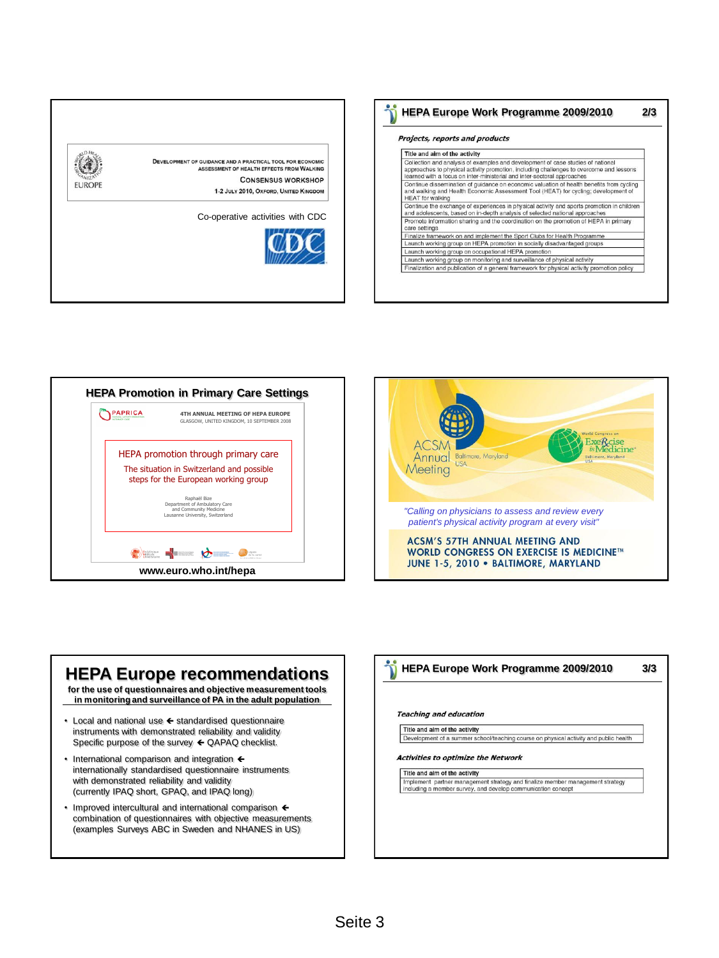

| Projects, reports and products |                                                                                                                                                                                                                                                       |  |
|--------------------------------|-------------------------------------------------------------------------------------------------------------------------------------------------------------------------------------------------------------------------------------------------------|--|
|                                | Title and aim of the activity                                                                                                                                                                                                                         |  |
|                                | Collection and analysis of examples and development of case studies of national<br>approaches to physical activity promotion, including challenges to overcome and lessons<br>learned with a focus on inter-ministerial and inter-sectoral approaches |  |
|                                | Continue dissemination of guidance on economic valuation of health benefits from cycling<br>and walking and Health Economic Assessment Tool (HEAT) for cycling; development of<br><b>HEAT</b> for walking                                             |  |
|                                | Continue the exchange of experiences in physical activity and sports promotion in children<br>and adolescents, based on in-depth analysis of selected national approaches                                                                             |  |
|                                | Promote information sharing and the coordination on the promotion of HEPA in primary<br>care settings                                                                                                                                                 |  |
|                                | Finalize framework on and implement the Sport Clubs for Health Programme                                                                                                                                                                              |  |
|                                | Launch working group on HEPA promotion in socially disadvantaged groups                                                                                                                                                                               |  |
|                                | Launch working group on occupational HEPA promotion                                                                                                                                                                                                   |  |
|                                | Launch working group on monitoring and surveillance of physical activity                                                                                                                                                                              |  |
|                                | Finalization and publication of a general framework for physical activity promotion policy                                                                                                                                                            |  |





## **HEPA Europe recommendations for the use of questionnaires and objective measurement tools in monitoring and surveillance of PA in the adult population**  $\cdot$  Local and national use  $\leftarrow$  standardised questionnaire instruments with demonstrated reliability and validity Specific purpose of the survey  $\leftarrow$  QAPAQ checklist. • International comparison and integration  $\leftarrow$ internationally standardised questionnaire instruments with demonstrated reliability and validity (currently IPAQ short, GPAQ, and IPAQ long)  $\cdot$  Improved intercultural and international comparison  $\leftarrow$ combination of questionnaires with objective measurements (examples Surveys ABC in Sweden and NHANES in US)